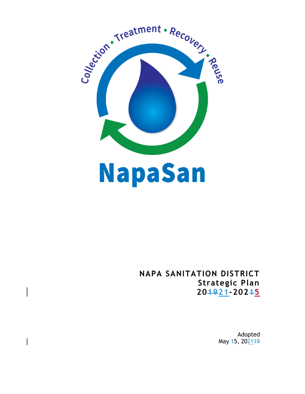

 $\overline{\phantom{a}}$ 

# **NAPA SANITATION DISTRICT Strategic Plan 201921-20215**

Adopted May 45, 202149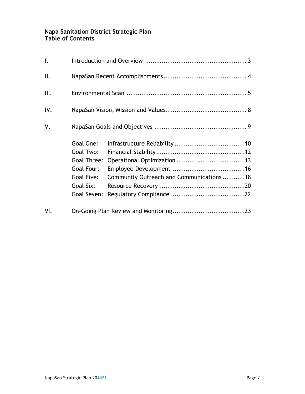## **Napa Sanitation District Strategic Plan Table of Contents**

| $\mathsf{L}$   |                                                                                               |                                         |  |
|----------------|-----------------------------------------------------------------------------------------------|-----------------------------------------|--|
| $\mathbb{I}$ . |                                                                                               |                                         |  |
| III.           |                                                                                               |                                         |  |
| IV.            |                                                                                               |                                         |  |
| V.             |                                                                                               |                                         |  |
|                | Goal One:<br>Goal Two:<br>Goal Three:<br>Goal Four:<br>Goal Five:<br>Goal Six:<br>Goal Seven: | Community Outreach and Communications18 |  |
| VI.            |                                                                                               |                                         |  |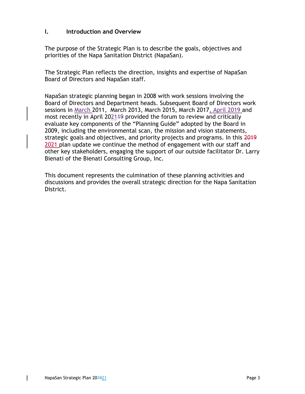## **I. Introduction and Overview**

The purpose of the Strategic Plan is to describe the goals, objectives and priorities of the Napa Sanitation District (NapaSan).

The Strategic Plan reflects the direction, insights and expertise of NapaSan Board of Directors and NapaSan staff.

NapaSan strategic planning began in 2008 with work sessions involving the Board of Directors and Department heads. Subsequent Board of Directors work sessions in March 2011, March 2013, March 2015, March 2017, April 2019 and most recently in April 202149 provided the forum to review and critically evaluate key components of the "Planning Guide" adopted by the Board in 2009, including the environmental scan, the mission and vision statements, strategic goals and objectives, and priority projects and programs. In this 2019 2021 plan update we continue the method of engagement with our staff and other key stakeholders, engaging the support of our outside facilitator Dr. Larry Bienati of the Bienati Consulting Group, Inc.

This document represents the culmination of these planning activities and discussions and provides the overall strategic direction for the Napa Sanitation District.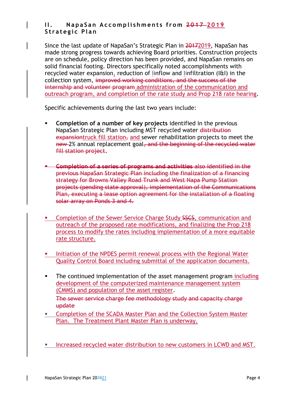## **II. NapaSan Accomplishments from 2017 2019 Strategic Plan**

Since the last update of NapaSan's Strategic Plan in 20172019, NapaSan has made strong progress towards achieving Board priorities. Construction projects are on schedule, policy direction has been provided, and NapaSan remains on solid financial footing. Directors specifically noted accomplishments with recycled water expansion, reduction of Iinflow and Iinfiltration (I&I) in the collection system, improved working conditions, and the success of the internship and volunteer program administration of the communication and outreach program, and completion of the rate study and Prop 218 rate hearing.

Specific achievements during the last two years include:

- **Completion of a number of key projects** identified in the previous NapaSan Strategic Plan including MST recycled water distribution  $expansion truck$  fill station<sub> $\overline{1}$ </sub> and sewer rehabilitation projects to meet the new 2% annual replacement goal, and the beginning of the recycled water fill station project.
- **Completion of a series of programs and activities** also identified in the previous NapaSan Strategic Plan including the finalization of a financing strategy for Browns Valley Road Trunk and West Napa Pump Station projects (pending state approval), implementation of the Communications Plan, executing a lease option agreement for the installation of a floating solar array on Ponds 3 and 4.
- **EXECT:** Completion of the Sewer Service Charge Study SSCS, communication and outreach of the proposed rate modifications, and finalizing the Prop 218 process to modify the rates including implementation of a more equitable rate structure.
- **Initiation of the NPDES permit renewal process with the Regional Water** Quality Control Board including submittal of the application documents.
- The continued implementation of the asset management program including development of the computerized maintenance management system (CMMS) and population of the asset register. The sewer service charge fee methodology study and capacity charge update
- **EXECOMPLERIGHT COMPLETE:** Completion of the SCADA Master Plan and the Collection System Master Plan. The Treatment Plant Master Plan is underway.
- **Increased recycled water distribution to new customers in LCWD and MST.**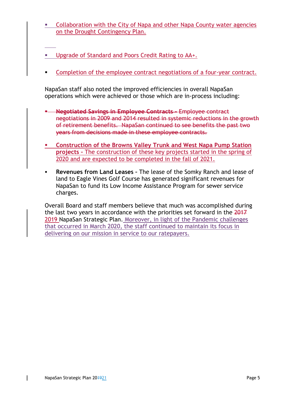- **EXECOLLA** Collaboration with the City of Napa and other Napa County water agencies on the Drought Contingency Plan.
- **Upgrade of Standard and Poors Credit Rating to AA+.**
- Completion of the employee contract negotiations of a four-year contract.

NapaSan staff also noted the improved efficiencies in overall NapaSan operations which were achieved or those which are in-process including:

- **Negotiated Savings in Employee Contracts –** Employee contract negotiations in 2009 and 2014 resulted in systemic reductions in the growth of retirement benefits. NapaSan continued to see benefits the past two years from decisions made in these employee contracts.
- **Construction of the Browns Valley Trunk and West Napa Pump Station projects –** The construction of these key projects started in the spring of 2020 and are expected to be completed in the fall of 2021.
- **Revenues from Land Leases –** The lease of the Somky Ranch and lease of land to Eagle Vines Golf Course has generated significant revenues for NapaSan to fund its Low Income Assistance Program for sewer service charges.

Overall Board and staff members believe that much was accomplished during the last two years in accordance with the priorities set forward in the 2017 2019 NapaSan Strategic Plan. Moreover, in light of the Pandemic challenges that occurred in March 2020, the staff continued to maintain its focus in delivering on our mission in service to our ratepayers.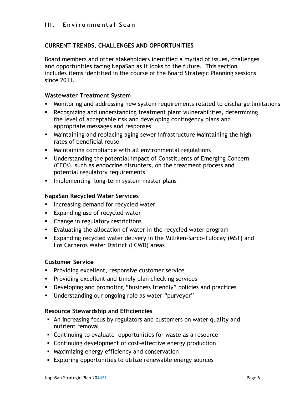## **III.** Environmental Scan

## **CURRENT TRENDS, CHALLENGES AND OPPORTUNITIES**

Board members and other stakeholders identified a myriad of issues, challenges and opportunities facing NapaSan as it looks to the future. This section includes items identified in the course of the Board Strategic Planning sessions since 2011.

## **Wastewater Treatment System**

- Monitoring and addressing new system requirements related to discharge limitations
- Recognizing and understanding treatment plant vulnerabilities, determining the level of acceptable risk and developing contingency plans and appropriate messages and responses
- Maintaining and replacing aging sewer infrastructure Maintaining the high rates of beneficial reuse
- Maintaining compliance with all environmental regulations
- Understanding the potential impact of Constituents of Emerging Concern (CECs), such as endocrine disrupters, on the treatment process and potential regulatory requirements
- **Implementing long-term system master plans**

## **NapaSan Recycled Water Services**

- **Increasing demand for recycled water**
- **Expanding use of recycled water**
- Change in regulatory restrictions
- Evaluating the allocation of water in the recycled water program
- Expanding recycled water delivery in the Milliken-Sarco-Tulocay (MST) and Los Carneros Water District (LCWD) areas

## **Customer Service**

- **Providing excellent, responsive customer service**
- **Providing excellent and timely plan checking services**
- Developing and promoting "business friendly" policies and practices
- Understanding our ongoing role as water "purveyor"

#### **Resource Stewardship and Efficiencies**

- An increasing focus by regulators and customers on water quality and nutrient removal
- Continuing to evaluate opportunities for waste as a resource
- Continuing development of cost-effective energy production
- Maximizing energy efficiency and conservation
- Exploring opportunities to utilize renewable energy sources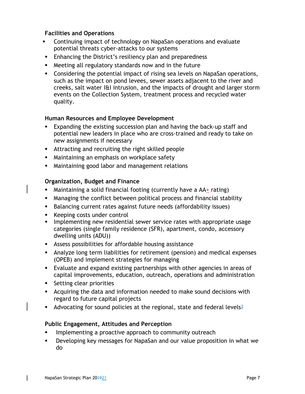## **Facilities and Operations**

- Continuing impact of technology on NapaSan operations and evaluate potential threats cyber-attacks to our systems
- **Enhancing the District's resiliency plan and preparedness**
- Meeting all regulatory standards now and in the future
- Considering the potential impact of rising sea levels on NapaSan operations, such as the impact on pond levees, sewer assets adjacent to the river and creeks, salt water I&I intrusion, and the impacts of drought and larger storm events on the Collection System, treatment process and recycled water quality.

## **Human Resources and Employee Development**

- Expanding the existing succession plan and having the back-up staff and potential new leaders in place who are cross-trained and ready to take on new assignments if necessary
- Attracting and recruiting the right skilled people
- **Maintaining an emphasis on workplace safety**
- Maintaining good labor and management relations

## **Organization, Budget and Finance**

- Maintaining a solid financial footing (currently have a AA+ rating)
- Managing the conflict between political process and financial stability
- Balancing current rates against future needs (affordability issues)
- **Keeping costs under control**
- **IMPLEMENTIME NEW FEST UPS IS EXAMORED FEEDER** implementing new residential search incorportate usage categories (single family residence (SFR), apartment, condo, accessory dwelling units (ADU))
- Assess possibilities for affordable housing assistance
- Analyze long term liabilities for retirement (pension) and medical expenses (OPEB) and implement strategies for managing
- Evaluate and expand existing partnerships with other agencies in areas of capital improvements, education, outreach, operations and administration
- **Setting clear priorities**
- Acquiring the data and information needed to make sound decisions with regard to future capital projects
- Advocating for sound policies at the regional, state and federal levels?

## **Public Engagement, Attitudes and Perception**

- Implementing a proactive approach to community outreach
- Developing key messages for NapaSan and our value proposition in what we do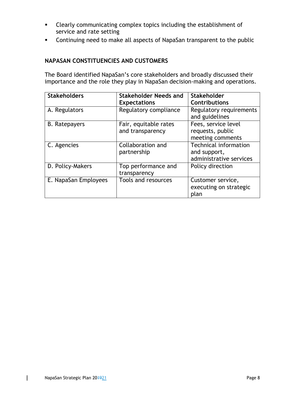- Clearly communicating complex topics including the establishment of service and rate setting
- Continuing need to make all aspects of NapaSan transparent to the public

## **NAPASAN CONSTITUENCIES AND CUSTOMERS**

The Board identified NapaSan's core stakeholders and broadly discussed their importance and the role they play in NapaSan decision-making and operations.

| <b>Stakeholders</b>  | Stakeholder Needs and | <b>Stakeholder</b>                        |
|----------------------|-----------------------|-------------------------------------------|
|                      | <b>Expectations</b>   | <b>Contributions</b>                      |
| A. Regulators        | Regulatory compliance | Regulatory requirements<br>and guidelines |
| <b>B.</b> Ratepayers | Fair, equitable rates | Fees, service level                       |
|                      | and transparency      | requests, public                          |
|                      |                       | meeting comments                          |
| C. Agencies          | Collaboration and     | <b>Technical information</b>              |
|                      | partnership           | and support,                              |
|                      |                       | administrative services                   |
| D. Policy-Makers     | Top performance and   | Policy direction                          |
|                      | transparency          |                                           |
| E. NapaSan Employees | Tools and resources   | Customer service,                         |
|                      |                       | executing on strategic                    |
|                      |                       | plan                                      |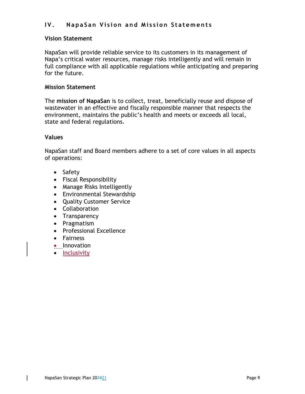## **IV. NapaSan Vision and Mission Statements**

## **Vision Statement**

NapaSan will provide reliable service to its customers in its management of Napa's critical water resources, manage risks intelligently and will remain in full compliance with all applicable regulations while anticipating and preparing for the future.

## **Mission Statement**

The **mission of NapaSan** is to collect, treat, beneficially reuse and dispose of wastewater in an effective and fiscally responsible manner that respects the environment, maintains the public's health and meets or exceeds all local, state and federal regulations.

### **Values**

NapaSan staff and Board members adhere to a set of core values in all aspects of operations:

- Safety
- Fiscal Responsibility
- Manage Risks Intelligently
- Environmental Stewardship
- Quality Customer Service
- Collaboration
- Transparency
- Pragmatism
- Professional Excellence
- Fairness
- Innovation
- Inclusivity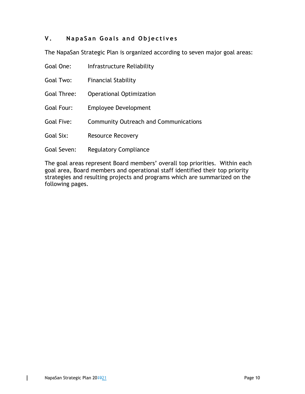## **V. NapaSan Goals and Objectives**

The NapaSan Strategic Plan is organized according to seven major goal areas:

| Goal One:          | Infrastructure Reliability                   |
|--------------------|----------------------------------------------|
| Goal Two:          | <b>Financial Stability</b>                   |
| <b>Goal Three:</b> | Operational Optimization                     |
| Goal Four:         | <b>Employee Development</b>                  |
| <b>Goal Five:</b>  | <b>Community Outreach and Communications</b> |
| Goal Six:          | <b>Resource Recovery</b>                     |
| Goal Seven:        | <b>Regulatory Compliance</b>                 |

The goal areas represent Board members' overall top priorities. Within each goal area, Board members and operational staff identified their top priority strategies and resulting projects and programs which are summarized on the following pages.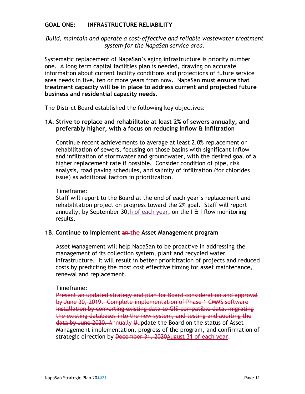## **GOAL ONE: INFRASTRUCTURE RELIABILITY**

## *Build, maintain and operate a cost-effective and reliable wastewater treatment system for the NapaSan service area.*

Systematic replacement of NapaSan's aging infrastructure is priority number one. A long term capital facilities plan is needed, drawing on accurate information about current facility conditions and projections of future service area needs in five, ten or more years from now. NapaSan **must ensure that treatment capacity will be in place to address current and projected future business and residential capacity needs.** 

The District Board established the following key objectives:

### **1A. Strive to replace and rehabilitate at least 2% of sewers annually, and preferably higher, with a focus on reducing Inflow & Infiltration**

Continue recent achievements to average at least 2.0% replacement or rehabilitation of sewers, focusing on those basins with significant inflow and infiltration of stormwater and groundwater, with the desired goal of a higher replacement rate if possible. Consider condition of pipe, risk analysis, road paving schedules, and salinity of infiltration (for chlorides issue) as additional factors in prioritization.

#### Timeframe:

Staff will report to the Board at the end of each year's replacement and rehabilitation project on progress toward the 2% goal. Staff will report annually, by September 30th of each year, on the  $I \oplus I$  flow monitoring results.

## **1B. Continue to Implement an the Asset Management program**

Asset Management will help NapaSan to be proactive in addressing the management of its collection system, plant and recycled water infrastructure. It will result in better prioritization of projects and reduced costs by predicting the most cost effective timing for asset maintenance, renewal and replacement.

#### Timeframe:

Present an updated strategy and plan for Board consideration and approval by June 30, 2019. Complete implementation of Phase 1 CMMS software installation by converting existing data to GIS-compatible data, migrating the existing databases into the new system, and testing and auditing the data by June 2020. Annually Uupdate the Board on the status of Asset Management implementation, progress of the program, and confirmation of strategic direction by December 31, 2020 August 31 of each year.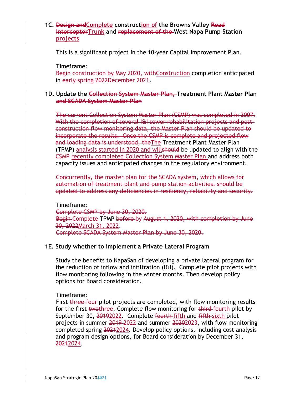## **1C. Design andComplete construction of the Browns Valley Road InterceptorTrunk and replacement of the West Napa Pump Station projects**

This is a significant project in the 10-year Capital Improvement Plan.

Timeframe:

Begin construction by May 2020, withConstruction completion anticipated in early spring 2022December 2021.

#### **1D. Update the Collection System Master Plan, Treatment Plant Master Plan and SCADA System Master Plan**

The current Collection System Master Plan (CSMP) was completed in 2007. With the completion of several I&I sewer rehabilitation projects and postconstruction flow monitoring data, the Master Plan should be updated to incorporate the results. Once the CSMP is complete and projected flow and loading data is understood, theThe Treatment Plant Master Plan (TPMP) analysis started in 2020 and willshould be updated to align with the CSMP recently completed Collection System Master Plan and address both capacity issues and anticipated changes in the regulatory environment.

Concurrently, the master plan for the SCADA system, which allows for automation of treatment plant and pump station activities, should be updated to address any deficiencies in resiliency, reliability and security.

Timeframe: Complete CSMP by June 30, 2020. Begin Complete TPMP before by August 1, 2020, with completion by June 30, 2022March 31, 2022. Complete SCADA System Master Plan by June 30, 2020.

## **1E. Study whether to implement a Private Lateral Program**

Study the benefits to NapaSan of developing a private lateral program for the reduction of inflow and infiltration (I&I). Complete pilot projects with flow monitoring following in the winter months. Then develop policy options for Board consideration.

## Timeframe:

First three four pilot projects are completed, with flow monitoring results for the first twothree. Complete flow monitoring for third fourth pilot by September 30, 20192022. Complete fourth fifth and fifth sixth pilot projects in summer 2019-2022 and summer 20202023, with flow monitoring completed spring 20212024. Develop policy options, including cost analysis and program design options, for Board consideration by December 31, 20212024.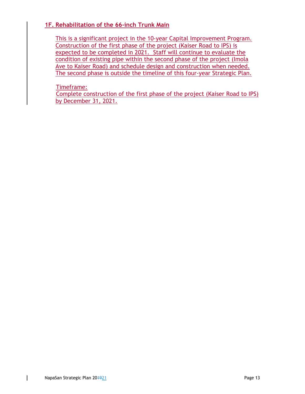## **1F. Rehabilitation of the 66-inch Trunk Main**

This is a significant project in the 10-year Capital Improvement Program. Construction of the first phase of the project (Kaiser Road to IPS) is expected to be completed in 2021. Staff will continue to evaluate the condition of existing pipe within the second phase of the project (Imola Ave to Kaiser Road) and schedule design and construction when needed. The second phase is outside the timeline of this four-year Strategic Plan.

Timeframe:

Complete construction of the first phase of the project (Kaiser Road to IPS) by December 31, 2021.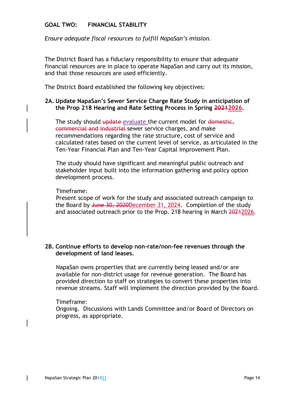## **GOAL TWO: FINANCIAL STABILITY**

*Ensure adequate fiscal resources to fulfill NapaSan's mission.* 

The District Board has a fiduciary responsibility to ensure that adequate financial resources are in place to operate NapaSan and carry out its mission, and that those resources are used efficiently.

The District Board established the following key objectives:

## **2A. Update NapaSan's Sewer Service Charge Rate Study in anticipation of the Prop 218 Hearing and Rate Setting Process in Spring 20212026.**

The study should update evaluate the current model for domestic, commercial and industrial sewer service charges, and make recommendations regarding the rate structure, cost of service and calculated rates based on the current level of service, as articulated in the Ten-Year Financial Plan and Ten-Year Capital Improvement Plan.

The study should have significant and meaningful public outreach and stakeholder input built into the information gathering and policy option development process.

#### Timeframe:

Present scope of work for the study and associated outreach campaign to the Board by June 30, 2020December 31, 2024. Completion of the study and associated outreach prior to the Prop. 218 hearing in March 20242026.

### **2B. Continue efforts to develop non-rate/non-fee revenues through the development of land leases.**

 NapaSan owns properties that are currently being leased and/or are available for non-district usage for revenue generation. The Board has provided direction to staff on strategies to convert these properties into revenue streams. Staff will implement the direction provided by the Board.

#### Timeframe:

Ongoing. Discussions with Lands Committee and/or Board of Directors on progress, as appropriate.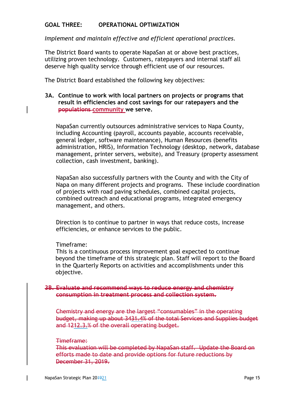## **GOAL THREE: OPERATIONAL OPTIMIZATION**

*Implement and maintain effective and efficient operational practices.* 

The District Board wants to operate NapaSan at or above best practices, utilizing proven technology. Customers, ratepayers and internal staff all deserve high quality service through efficient use of our resources.

The District Board established the following key objectives:

### **3A. Continue to work with local partners on projects or programs that result in efficiencies and cost savings for our ratepayers and the populations community we serve.**

NapaSan currently outsources administrative services to Napa County, including Accounting (payroll, accounts payable, accounts receivable, general ledger, software maintenance), Human Resources (benefits administration, HRIS), Information Technology (desktop, network, database management, printer servers, website), and Treasury (property assessment collection, cash investment, banking).

NapaSan also successfully partners with the County and with the City of Napa on many different projects and programs. These include coordination of projects with road paving schedules, combined capital projects, combined outreach and educational programs, integrated emergency management, and others.

Direction is to continue to partner in ways that reduce costs, increase efficiencies, or enhance services to the public.

#### Timeframe:

This is a continuous process improvement goal expected to continue beyond the timeframe of this strategic plan. Staff will report to the Board in the Quarterly Reports on activities and accomplishments under this objective.

#### **3B. Evaluate and recommend ways to reduce energy and chemistry consumption in treatment process and collection system.**

Chemistry and energy are the largest "consumables" in the operating budget, making up about 3431.4% of the total Services and Supplies budget and 1212.3.% of the overall operating budget.

#### Timeframe:

This evaluation will be completed by NapaSan staff. Update the Board on efforts made to date and provide options for future reductions by December 31, 2019.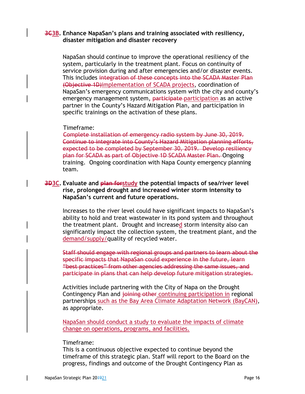## **3C3B. Enhance NapaSan's plans and training associated with resiliency, disaster mitigation and disaster recovery**

NapaSan should continue to improve the operational resiliency of the system, particularly in the treatment plant. Focus on continuity of service provision during and after emergencies and/or disaster events. This includes integration of these concepts into the SCADA Master Plan (Objective 1D)implementation of SCADA projects, coordination of NapaSan's emergency communications system with the city and county's emergency management system, participate participation as an active partner in the County's Hazard Mitigation Plan, and participation in specific trainings on the activation of these plans.

#### Timeframe:

Complete installation of emergency radio system by June 30, 2019. Continue to integrate into County's Hazard Mitigation planning efforts, expected to be completed by September 30, 2019. Develop resiliency plan for SCADA as part of Objective 1D SCADA Master Plan. Ongoing training. Ongoing coordination with Napa County emergency planning team.

## **3D3C. Evaluate and plan forstudy the potential impacts of sea/river level rise, prolonged drought and increased winter storm intensity to NapaSan's current and future operations.**

Increases to the river level could have significant impacts to NapaSan's ability to hold and treat wastewater in its pond system and throughout the treatment plant. Drought and increased storm intensity also can significantly impact the collection system, the treatment plant, and the demand/supply/quality of recycled water.

Staff should engage with regional groups and partners to learn about the specific impacts that NapaSan could experience in the future, learn "best practices" from other agencies addressing the same issues, and participate in plans that can help develop future mitigation strategies.

Activities include partnering with the City of Napa on the Drought Contingency Plan and joining other continuing participation in regional partnerships such as the Bay Area Climate Adaptation Network (BayCAN), as appropriate.

NapaSan should conduct a study to evaluate the impacts of climate change on operations, programs, and facilities.

#### Timeframe:

This is a continuous objective expected to continue beyond the timeframe of this strategic plan. Staff will report to the Board on the progress, findings and outcome of the Drought Contingency Plan as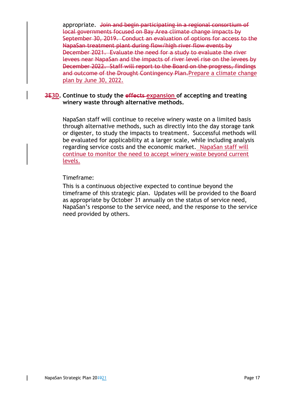appropriate. Join and begin participating in a regional consortium of local governments focused on Bay Area climate change impacts by September 30, 2019. Conduct an evaluation of options for access to the NapaSan treatment plant during flow/high river flow events by December 2021. Evaluate the need for a study to evaluate the river levees near NapaSan and the impacts of river level rise on the levees by December 2022. Staff will report to the Board on the progress, findings and outcome of the Drought Contingency Plan. Prepare a climate change plan by June 30, 2022.

### **3E3D. Continue to study the effects expansion of accepting and treating winery waste through alternative methods.**

NapaSan staff will continue to receive winery waste on a limited basis through alternative methods, such as directly into the day storage tank or digester, to study the impacts to treatment. Successful methods will be evaluated for applicability at a larger scale, while including analysis regarding service costs and the economic market. NapaSan staff will continue to monitor the need to accept winery waste beyond current levels.

### Timeframe:

This is a continuous objective expected to continue beyond the timeframe of this strategic plan. Updates will be provided to the Board as appropriate by October 31 annually on the status of service need, NapaSan's response to the service need, and the response to the service need provided by others.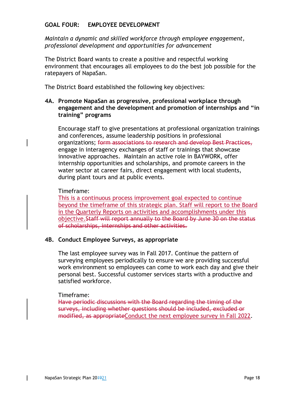## **GOAL FOUR: EMPLOYEE DEVELOPMENT**

*Maintain a dynamic and skilled workforce through employee engagement, professional development and opportunities for advancement* 

The District Board wants to create a positive and respectful working environment that encourages all employees to do the best job possible for the ratepayers of NapaSan.

The District Board established the following key objectives:

## **4A. Promote NapaSan as progressive, professional workplace through engagement and the development and promotion of internships and "in training" programs**

Encourage staff to give presentations at professional organization trainings and conferences, assume leadership positions in professional organizations; form associations to research and develop Best Practices, engage in interagency exchanges of staff or trainings that showcase innovative approaches. Maintain an active role in BAYWORK, offer internship opportunities and scholarships, and promote careers in the water sector at career fairs, direct engagement with local students, during plant tours and at public events.

### Timeframe:

This is a continuous process improvement goal expected to continue beyond the timeframe of this strategic plan. Staff will report to the Board in the Quarterly Reports on activities and accomplishments under this objective.Staff will report annually to the Board by June 30 on the status of scholarships, internships and other activities.

## **4B. Conduct Employee Surveys, as appropriate**

The last employee survey was in Fall 2017. Continue the pattern of surveying employees periodically to ensure we are providing successful work environment so employees can come to work each day and give their personal best. Successful customer services starts with a productive and satisfied workforce.

## Timeframe:

Have periodic discussions with the Board regarding the timing of the surveys, including whether questions should be included, excluded or modified, as appropriateConduct the next employee survey in Fall 2022.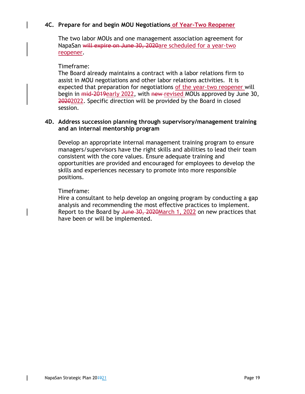## **4C. Prepare for and begin MOU Negotiations of Year-Two Reopener**

The two labor MOUs and one management association agreement for NapaSan will expire on June 30, 2020are scheduled for a year-two reopener.

### Timeframe:

The Board already maintains a contract with a labor relations firm to assist in MOU negotiations and other labor relations activities. It is expected that preparation for negotiations of the year-two reopener will begin in mid-2019early 2022, with new revised MOUs approved by June 30, 20202022. Specific direction will be provided by the Board in closed session.

## **4D. Address succession planning through supervisory/management training and an internal mentorship program**

Develop an appropriate internal management training program to ensure managers/supervisors have the right skills and abilities to lead their team consistent with the core values. Ensure adequate training and opportunities are provided and encouraged for employees to develop the skills and experiences necessary to promote into more responsible positions.

### Timeframe:

Hire a consultant to help develop an ongoing program by conducting a gap analysis and recommending the most effective practices to implement. Report to the Board by June 30, 2020 March 1, 2022 on new practices that have been or will be implemented.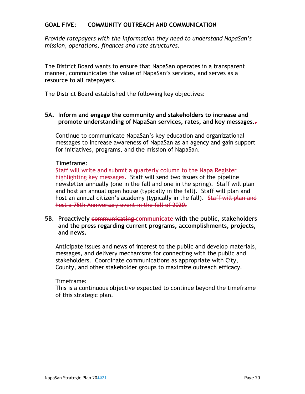## **GOAL FIVE: COMMUNITY OUTREACH AND COMMUNICATION**

*Provide ratepayers with the information they need to understand NapaSan's mission, operations, finances and rate structures.* 

The District Board wants to ensure that NapaSan operates in a transparent manner, communicates the value of NapaSan's services, and serves as a resource to all ratepayers.

The District Board established the following key objectives:

## **5A. Inform and engage the community and stakeholders to increase and promote understanding of NapaSan services, rates, and key messages..**

Continue to communicate NapaSan's key education and organizational messages to increase awareness of NapaSan as an agency and gain support for initiatives, programs, and the mission of NapaSan.

### Timeframe:

Staff will write and submit a quarterly column to the Napa Register highlighting key messages. Staff will send two issues of the pipeline newsletter annually (one in the fall and one in the spring). Staff will plan and host an annual open house (typically in the fall). Staff will plan and host an annual citizen's academy (typically in the fall). Staff will plan and host a 75th Anniversary event in the fall of 2020.

## **5B. Proactively communicating communicate with the public, stakeholders and the press regarding current programs, accomplishments, projects, and news.**

Anticipate issues and news of interest to the public and develop materials, messages, and delivery mechanisms for connecting with the public and stakeholders. Coordinate communications as appropriate with City, County, and other stakeholder groups to maximize outreach efficacy.

#### Timeframe:

This is a continuous objective expected to continue beyond the timeframe of this strategic plan.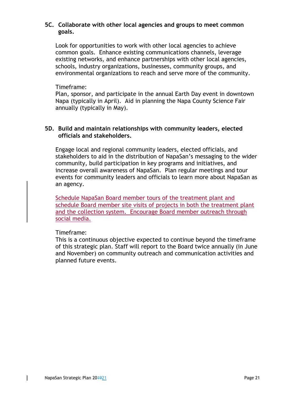## **5C. Collaborate with other local agencies and groups to meet common goals.**

Look for opportunities to work with other local agencies to achieve common goals. Enhance existing communications channels, leverage existing networks, and enhance partnerships with other local agencies, schools, industry organizations, businesses, community groups, and environmental organizations to reach and serve more of the community.

### Timeframe:

Plan, sponsor, and participate in the annual Earth Day event in downtown Napa (typically in April). Aid in planning the Napa County Science Fair annually (typically in May).

## **5D. Build and maintain relationships with community leaders, elected officials and stakeholders.**

Engage local and regional community leaders, elected officials, and stakeholders to aid in the distribution of NapaSan's messaging to the wider community, build participation in key programs and initiatives, and increase overall awareness of NapaSan. Plan regular meetings and tour events for community leaders and officials to learn more about NapaSan as an agency.

Schedule NapaSan Board member tours of the treatment plant and schedule Board member site visits of projects in both the treatment plant and the collection system. Encourage Board member outreach through social media.

## Timeframe:

This is a continuous objective expected to continue beyond the timeframe of this strategic plan. Staff will report to the Board twice annually (in June and November) on community outreach and communication activities and planned future events.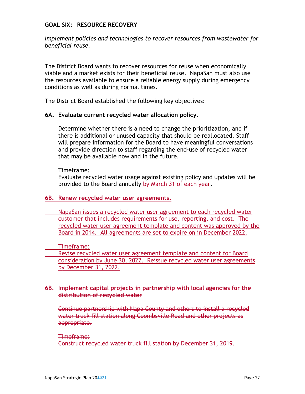## **GOAL SIX: RESOURCE RECOVERY**

*Implement policies and technologies to recover resources from wastewater for beneficial reuse.* 

The District Board wants to recover resources for reuse when economically viable and a market exists for their beneficial reuse. NapaSan must also use the resources available to ensure a reliable energy supply during emergency conditions as well as during normal times.

The District Board established the following key objectives:

### **6A. Evaluate current recycled water allocation policy.**

Determine whether there is a need to change the prioritization, and if there is additional or unused capacity that should be reallocated. Staff will prepare information for the Board to have meaningful conversations and provide direction to staff regarding the end-use of recycled water that may be available now and in the future.

Timeframe:

Evaluate recycled water usage against existing policy and updates will be provided to the Board annually by March 31 of each year.

## **6B. Renew recycled water user agreements.**

NapaSan issues a recycled water user agreement to each recycled water customer that includes requirements for use, reporting, and cost. The recycled water user agreement template and content was approved by the Board in 2014. All agreements are set to expire on in December 2022.

Timeframe:

 Revise recycled water user agreement template and content for Board consideration by June 30, 2022. Reissue recycled water user agreements by December 31, 2022.

#### **6B. Implement capital projects in partnership with local agencies for the distribution of recycled water**

Continue partnership with Napa County and others to install a recycled water truck fill station along Coombsville Road and other projects as appropriate.

#### Timeframe:

Construct recycled water truck fill station by December 31, 2019.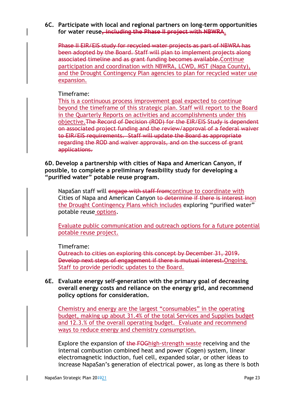#### **6C. Participate with local and regional partners on long-term opportunities for water reuse, including the Phase II project with NBWRA.**

Phase II EIR/EIS study for recycled water projects as part of NBWRA has been adopted by the Board. Staff will plan to implement projects along associated timeline and as grant funding becomes available.Continue participation and coordination with NBWRA, LCWD, MST (Napa County), and the Drought Contingency Plan agencies to plan for recycled water use expansion.

### Timeframe:

This is a continuous process improvement goal expected to continue beyond the timeframe of this strategic plan. Staff will report to the Board in the Quarterly Reports on activities and accomplishments under this objective.The Record of Decision (ROD) for the EIR/EIS Study is dependent on associated project funding and the review/approval of a federal waiver to EIR/EIS requirements. Staff will update the Board as appropriate regarding the ROD and waiver approvals, and on the success of grant applications.

**6D. Develop a partnership with cities of Napa and American Canyon, if possible, to complete a preliminary feasibility study for developing a "purified water" potable reuse program.** 

NapaSan staff will engage with staff fromcontinue to coordinate with Cities of Napa and American Canyon to determine if there is interest inon the Drought Contingency Plans which includes exploring "purified water" potable reuse options.

Evaluate public communication and outreach options for a future potential potable reuse project.

## Timeframe:

Outreach to cities on exploring this concept by December 31, 2019. Develop next steps of engagement if there is mutual interest.Ongoing. Staff to provide periodic updates to the Board.

## **6E. Evaluate energy self-generation with the primary goal of decreasing overall energy costs and reliance on the energy grid, and recommend policy options for consideration.**

Chemistry and energy are the largest "consumables" in the operating budget, making up about 31.4% of the total Services and Supplies budget and 12.3.% of the overall operating budget. Evaluate and recommend ways to reduce energy and chemistry consumption.

Explore the expansion of the FOGhigh-strength waste receiving and the internal combustion combined heat and power (Cogen) system, linear electromagnetic induction, fuel cell, expanded solar, or other ideas to increase NapaSan's generation of electrical power, as long as there is both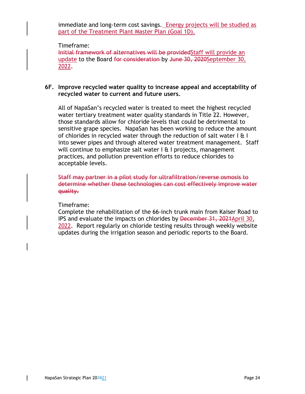immediate and long-term cost savings. Energy projects will be studied as part of the Treatment Plant Master Plan (Goal 1D).

#### Timeframe:

Initial framework of alternatives will be providedStaff will provide an update to the Board for consideration by June 30, 2020September 30, 2022.

#### **6F. Improve recycled water quality to increase appeal and acceptability of recycled water to current and future users.**

All of NapaSan's recycled water is treated to meet the highest recycled water tertiary treatment water quality standards in Title 22. However, those standards allow for chloride levels that could be detrimental to sensitive grape species. NapaSan has been working to reduce the amount of chlorides in recycled water through the reduction of salt water  $| \mathbf{a} |$ into sewer pipes and through altered water treatment management. Staff will continue to emphasize salt water  $I \oplus I$  projects, management practices, and pollution prevention efforts to reduce chlorides to acceptable levels.

Staff may partner in a pilot study for ultrafiltration/reverse osmosis to determine whether these technologies can cost effectively improve water quality.

#### Timeframe:

Complete the rehabilitation of the 66-inch trunk main from Kaiser Road to IPS and evaluate the impacts on chlorides by December 31, 2021April 30, 2022. Report regularly on chloride testing results through weekly website updates during the irrigation season and periodic reports to the Board.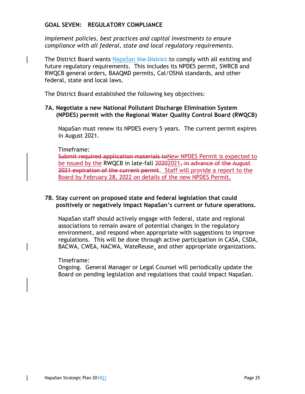## **GOAL SEVEN: REGULATORY COMPLIANCE**

*Implement policies, best practices and capital investments to ensure compliance with all federal, state and local regulatory requirements.* 

The District Board wants NapaSan the District-to comply with all existing and future regulatory requirements. This includes its NPDES permit, SWRCB and RWQCB general orders, BAAQMD permits, Cal/OSHA standards, and other federal, state and local laws.

The District Board established the following key objectives:

### **7A. Negotiate a new National Pollutant Discharge Elimination System (NPDES) permit with the Regional Water Quality Control Board (RWQCB)**

NapaSan must renew its NPDES every 5 years. The current permit expires in August 2021.

### Timeframe:

Submit required application materials toNew NPDES Permit is expected to be issued by the RWQCB in late-fall 20202021, in advance of the August 2021 expiration of the current permit. Staff will provide a report to the Board by February 28, 2022 on details of the new NPDES Permit.

## **7B. Stay current on proposed state and federal legislation that could positively or negatively impact NapaSan's current or future operations.**

NapaSan staff should actively engage with federal, state and regional associations to remain aware of potential changes in the regulatory environment, and respond when appropriate with suggestions to improve regulations. This will be done through active participation in CASA, CSDA, BACWA, CWEA, NACWA, WateReuse, and other appropriate organizations.

## Timeframe:

Ongoing. General Manager or Legal Counsel will periodically update the Board on pending legislation and regulations that could impact NapaSan.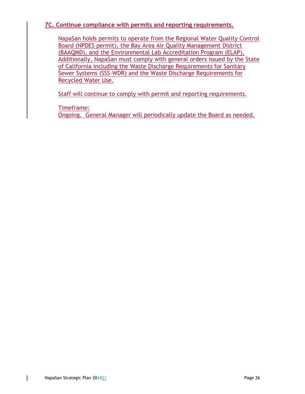## **7C. Continue compliance with permits and reporting requirements.**

NapaSan holds permits to operate from the Regional Water Quality Control Board (NPDES permit), the Bay Area Air Quality Management District (BAAQMD), and the Environmental Lab Accreditation Program (ELAP). Additionally, NapaSan must comply with general orders issued by the State of California including the Waste Discharge Requirements for Sanitary Sewer Systems (SSS-WDR) and the Waste Discharge Requirements for Recycled Water Use.

Staff will continue to comply with permit and reporting requirements.

Timeframe:

Ongoing. General Manager will periodically update the Board as needed.